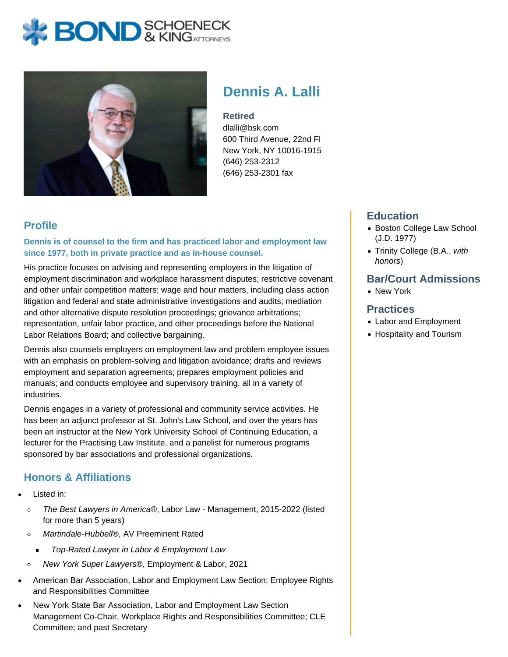# **BOND** & KINGATTORNECK



# **Dennis A. Lalli**

#### **Retired**

dlalli@bsk.com 600 Third Avenue, 22nd Fl New York, NY 10016-1915 (646) 253-2312 (646) 253-2301 fax

### **Profile**

#### **Dennis is of counsel to the firm and has practiced labor and employment law since 1977, both in private practice and as in-house counsel.**

His practice focuses on advising and representing employers in the litigation of employment discrimination and workplace harassment disputes; restrictive covenant and other unfair competition matters; wage and hour matters, including class action litigation and federal and state administrative investigations and audits; mediation and other alternative dispute resolution proceedings; grievance arbitrations; representation, unfair labor practice, and other proceedings before the National Labor Relations Board; and collective bargaining.

Dennis also counsels employers on employment law and problem employee issues with an emphasis on problem-solving and litigation avoidance; drafts and reviews employment and separation agreements; prepares employment policies and manuals; and conducts employee and supervisory training, all in a variety of industries.

Dennis engages in a variety of professional and community service activities. He has been an adjunct professor at St. John's Law School, and over the years has been an instructor at the New York University School of Continuing Education, a lecturer for the Practising Law Institute, and a panelist for numerous programs sponsored by bar associations and professional organizations.

## **Honors & Affiliations**

- Listed in:
	- The Best Lawyers in America®, Labor Law Management, 2015-2022 (listed  $\circ$ for more than 5 years)
	- Martindale-Hubbell®, AV Preeminent Rated  $\circ$ 
		- Top-Rated Lawyer in Labor & Employment Law  $\blacksquare$
	- New York Super Lawyers®, Employment & Labor, 2021  $\circ$
- American Bar Association, Labor and Employment Law Section; Employee Rights and Responsibilities Committee
- New York State Bar Association, Labor and Employment Law Section Management Co-Chair, Workplace Rights and Responsibilities Committee; CLE Committee; and past Secretary

#### **Education**

- Boston College Law School (J.D. 1977)
- Trinity College (B.A., with honors)

#### **Bar/Court Admissions**

• New York

#### **Practices**

- Labor and Employment
- Hospitality and Tourism